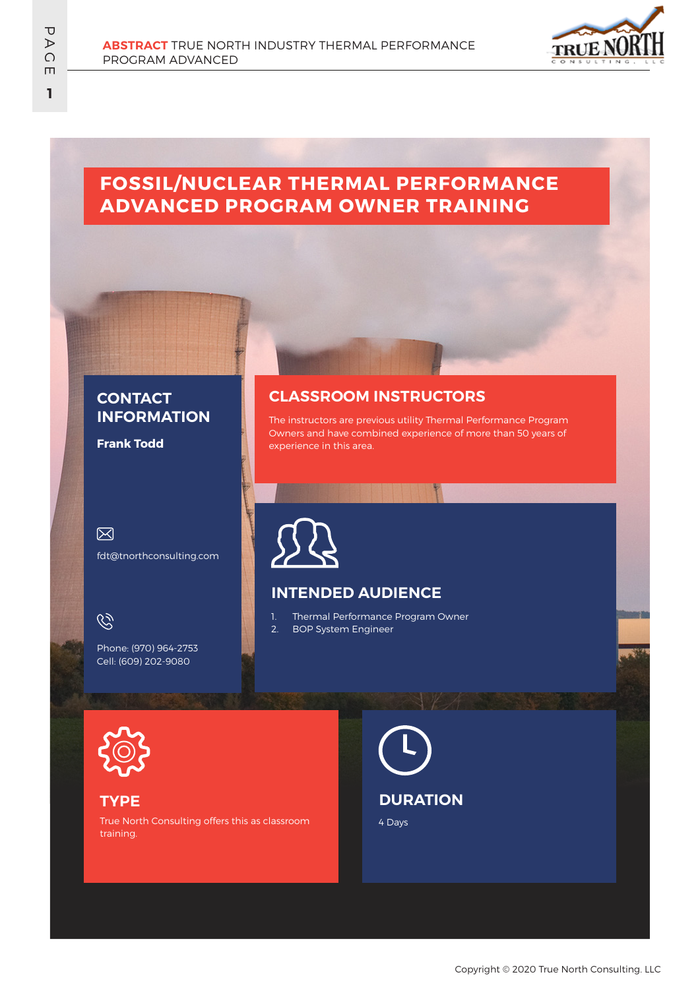

# **FOSSIL/NUCLEAR THERMAL PERFORMANCE ADVANCED PROGRAM OWNER TRAINING**

### **CONTACT INFORMATION**

**Frank Todd**

 $\boxtimes$ 

fdt@tnorthconsulting.com

 $\mathscr{G}$ 

Phone: (970) 964-2753 Cell: (609) 202-9080

#### **CLASSROOM INSTRUCTORS**

The instructors are previous utility Thermal Performance Program Owners and have combined experience of more than 50 years of experience in this area.



## **INTENDED AUDIENCE**

1. Thermal Performance Program Owner 2. BOP System Engineer



#### **TYPE**

True North Consulting offers this as classroom training.

4 Days **DURATION**